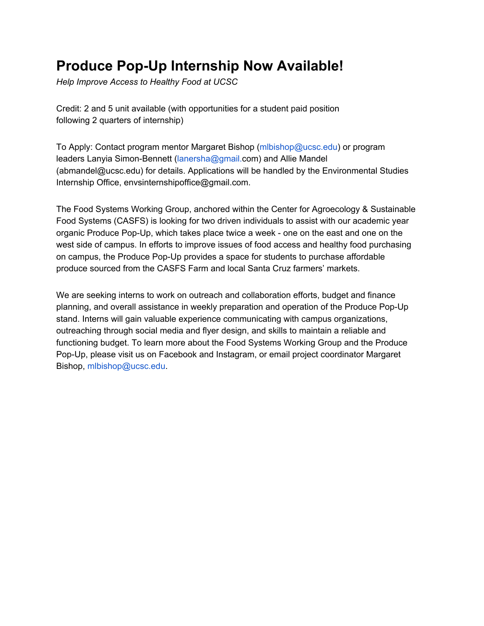## **Produce Pop-Up Internship Now Available!**

*Help Improve Access to Healthy Food at UCSC*

Credit: 2 and 5 unit available (with opportunities for a student paid position following 2 quarters of internship)

To Apply: Contact program mentor Margaret Bishop (mlbishop@ucsc.edu) or program leaders Lanyia Simon-Bennett (lanersha@gmail.com) and Allie Mandel (abmandel@ucsc.edu) for details. Applications will be handled by the Environmental Studies Internship Office, envsinternshipoffice@gmail.com.

The Food Systems Working Group, anchored within the Center for Agroecology & Sustainable Food Systems (CASFS) is looking for two driven individuals to assist with our academic year organic Produce Pop-Up, which takes place twice a week - one on the east and one on the west side of campus. In efforts to improve issues of food access and healthy food purchasing on campus, the Produce Pop-Up provides a space for students to purchase affordable produce sourced from the CASFS Farm and local Santa Cruz farmers' markets.

We are seeking interns to work on outreach and collaboration efforts, budget and finance planning, and overall assistance in weekly preparation and operation of the Produce Pop-Up stand. Interns will gain valuable experience communicating with campus organizations, outreaching through social media and flyer design, and skills to maintain a reliable and functioning budget. To learn more about the Food Systems Working Group and the Produce Pop-Up, please visit us on Facebook and Instagram, or email project coordinator Margaret Bishop, mlbishop@ucsc.edu.